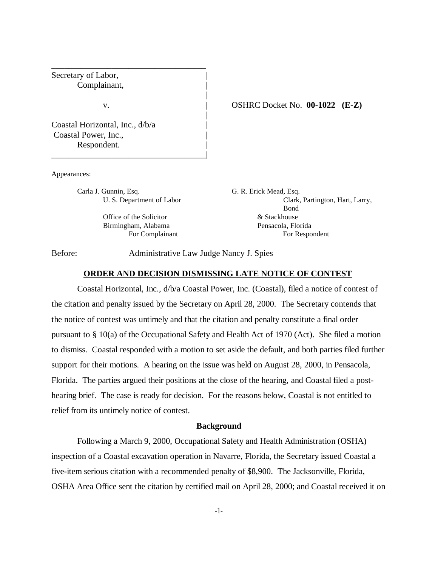Secretary of Labor, Complainant, |

Coastal Horizontal, Inc., d/b/a | Coastal Power, Inc., Respondent.

Appearances:

Carla J. Gunnin, Esq. G. R. Erick Mead, Esq.

\_\_\_\_\_\_\_\_\_\_\_\_\_\_\_\_\_\_\_\_\_\_\_\_\_\_\_\_\_\_\_\_\_\_\_\_|

\_\_\_\_\_\_\_\_\_\_\_\_\_\_\_\_\_\_\_\_\_\_\_\_\_\_\_\_\_\_\_\_\_\_\_\_

Office of the Solicitor  $\&$  Stackhouse

v. | OSHRC Docket No. **00-1022 (E-Z)**

U. S. Department of Labor Clark, Partington, Hart, Larry, Bond Birmingham, Alabama Pensacola, Florida For Complainant For Respondent

Before: Administrative Law Judge Nancy J. Spies

### **ORDER AND DECISION DISMISSING LATE NOTICE OF CONTEST**

|

|

Coastal Horizontal, Inc., d/b/a Coastal Power, Inc. (Coastal), filed a notice of contest of the citation and penalty issued by the Secretary on April 28, 2000. The Secretary contends that the notice of contest was untimely and that the citation and penalty constitute a final order pursuant to § 10(a) of the Occupational Safety and Health Act of 1970 (Act). She filed a motion to dismiss. Coastal responded with a motion to set aside the default, and both parties filed further support for their motions. A hearing on the issue was held on August 28, 2000, in Pensacola, Florida. The parties argued their positions at the close of the hearing, and Coastal filed a posthearing brief. The case is ready for decision. For the reasons below, Coastal is not entitled to relief from its untimely notice of contest.

### **Background**

Following a March 9, 2000, Occupational Safety and Health Administration (OSHA) inspection of a Coastal excavation operation in Navarre, Florida, the Secretary issued Coastal a five-item serious citation with a recommended penalty of \$8,900. The Jacksonville, Florida, OSHA Area Office sent the citation by certified mail on April 28, 2000; and Coastal received it on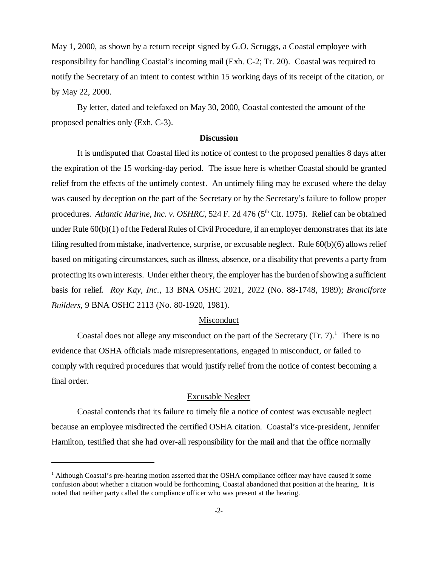May 1, 2000, as shown by a return receipt signed by G.O. Scruggs, a Coastal employee with responsibility for handling Coastal's incoming mail (Exh. C-2; Tr. 20). Coastal was required to notify the Secretary of an intent to contest within 15 working days of its receipt of the citation, or by May 22, 2000.

By letter, dated and telefaxed on May 30, 2000, Coastal contested the amount of the proposed penalties only (Exh. C-3).

# **Discussion**

 It is undisputed that Coastal filed its notice of contest to the proposed penalties 8 days after the expiration of the 15 working-day period. The issue here is whether Coastal should be granted relief from the effects of the untimely contest. An untimely filing may be excused where the delay was caused by deception on the part of the Secretary or by the Secretary's failure to follow proper procedures. *Atlantic Marine, Inc. v. OSHRC,* 524 F. 2d 476 (5<sup>th</sup> Cit. 1975). Relief can be obtained under Rule 60(b)(1) of the Federal Rules of Civil Procedure, if an employer demonstrates that its late filing resulted from mistake, inadvertence, surprise, or excusable neglect. Rule 60(b)(6) allows relief based on mitigating circumstances, such as illness, absence, or a disability that prevents a party from protecting its own interests. Under either theory, the employer has the burden of showing a sufficient basis for relief. *Roy Kay, Inc.,* 13 BNA OSHC 2021, 2022 (No. 88-1748, 1989); *Branciforte Builders,* 9 BNA OSHC 2113 (No. 80-1920, 1981).

#### Misconduct

Coastal does not allege any misconduct on the part of the Secretary  $(Tr. 7)<sup>1</sup>$  There is no evidence that OSHA officials made misrepresentations, engaged in misconduct, or failed to comply with required procedures that would justify relief from the notice of contest becoming a final order.

#### Excusable Neglect

Coastal contends that its failure to timely file a notice of contest was excusable neglect because an employee misdirected the certified OSHA citation. Coastal's vice-president, Jennifer Hamilton, testified that she had over-all responsibility for the mail and that the office normally

<sup>&</sup>lt;sup>1</sup> Although Coastal's pre-hearing motion asserted that the OSHA compliance officer may have caused it some confusion about whether a citation would be forthcoming, Coastal abandoned that position at the hearing. It is noted that neither party called the compliance officer who was present at the hearing.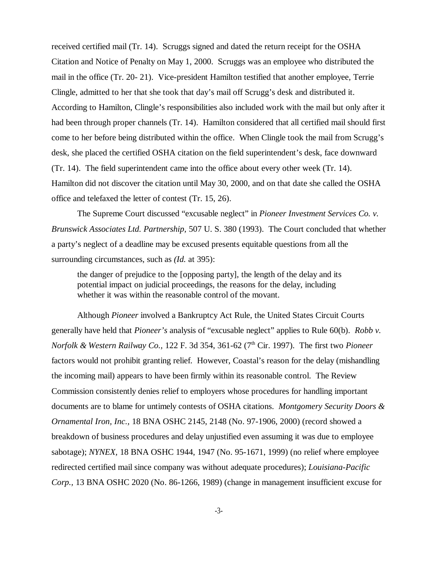received certified mail (Tr. 14). Scruggs signed and dated the return receipt for the OSHA Citation and Notice of Penalty on May 1, 2000. Scruggs was an employee who distributed the mail in the office (Tr. 20- 21). Vice-president Hamilton testified that another employee, Terrie Clingle, admitted to her that she took that day's mail off Scrugg's desk and distributed it. According to Hamilton, Clingle's responsibilities also included work with the mail but only after it had been through proper channels (Tr. 14). Hamilton considered that all certified mail should first come to her before being distributed within the office. When Clingle took the mail from Scrugg's desk, she placed the certified OSHA citation on the field superintendent's desk, face downward (Tr. 14). The field superintendent came into the office about every other week (Tr. 14). Hamilton did not discover the citation until May 30, 2000, and on that date she called the OSHA office and telefaxed the letter of contest (Tr. 15, 26).

The Supreme Court discussed "excusable neglect" in *Pioneer Investment Services Co. v. Brunswick Associates Ltd. Partnership,* 507 U. S. 380 (1993). The Court concluded that whether a party's neglect of a deadline may be excused presents equitable questions from all the surrounding circumstances, such as *(Id.* at 395):

the danger of prejudice to the [opposing party], the length of the delay and its potential impact on judicial proceedings, the reasons for the delay, including whether it was within the reasonable control of the movant.

Although *Pioneer* involved a Bankruptcy Act Rule, the United States Circuit Courts generally have held that *Pioneer's* analysis of "excusable neglect" applies to Rule 60(b). *Robb v. Norfolk & Western Railway Co.,* 122 F. 3d 354, 361-62 (7th Cir. 1997). The first two *Pioneer* factors would not prohibit granting relief. However, Coastal's reason for the delay (mishandling the incoming mail) appears to have been firmly within its reasonable control. The Review Commission consistently denies relief to employers whose procedures for handling important documents are to blame for untimely contests of OSHA citations. *Montgomery Security Doors & Ornamental Iron, Inc.,* 18 BNA OSHC 2145, 2148 (No. 97-1906, 2000) (record showed a breakdown of business procedures and delay unjustified even assuming it was due to employee sabotage); *NYNEX,* 18 BNA OSHC 1944, 1947 (No. 95-1671, 1999) (no relief where employee redirected certified mail since company was without adequate procedures); *Louisiana-Pacific Corp.,* 13 BNA OSHC 2020 (No. 86-1266, 1989) (change in management insufficient excuse for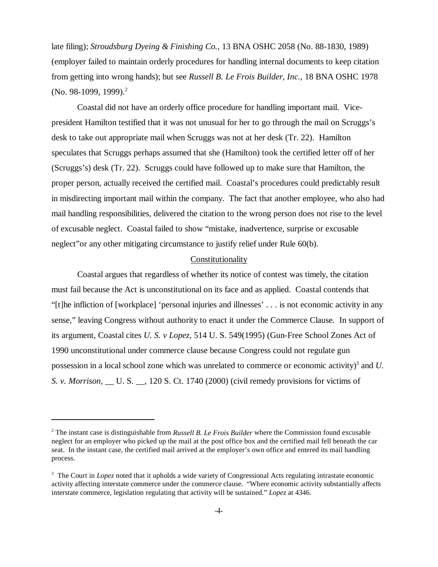late filing); *Stroudsburg Dyeing & Finishing Co.,* 13 BNA OSHC 2058 (No. 88-1830, 1989) (employer failed to maintain orderly procedures for handling internal documents to keep citation from getting into wrong hands); but see *Russell B. Le Frois Builder, Inc.,* 18 BNA OSHC 1978 (No. 98-1099, 1999).<sup>2</sup>

Coastal did not have an orderly office procedure for handling important mail. Vicepresident Hamilton testified that it was not unusual for her to go through the mail on Scruggs's desk to take out appropriate mail when Scruggs was not at her desk (Tr. 22). Hamilton speculates that Scruggs perhaps assumed that she (Hamilton) took the certified letter off of her (Scruggs's) desk (Tr. 22). Scruggs could have followed up to make sure that Hamilton, the proper person, actually received the certified mail. Coastal's procedures could predictably result in misdirecting important mail within the company. The fact that another employee, who also had mail handling responsibilities, delivered the citation to the wrong person does not rise to the level of excusable neglect. Coastal failed to show "mistake, inadvertence, surprise or excusable neglect"or any other mitigating circumstance to justify relief under Rule 60(b).

## Constitutionality

Coastal argues that regardless of whether its notice of contest was timely, the citation must fail because the Act is unconstitutional on its face and as applied. Coastal contends that "[t]he infliction of [workplace] 'personal injuries and illnesses' . . . is not economic activity in any sense," leaving Congress without authority to enact it under the Commerce Clause. In support of its argument, Coastal cites *U. S. v Lopez,* 514 U. S. 549(1995) (Gun-Free School Zones Act of 1990 unconstitutional under commerce clause because Congress could not regulate gun possession in a local school zone which was unrelated to commerce or economic activity)<sup>3</sup> and *U*. *S. v. Morrison,* \_\_ U. S. \_\_, 120 S. Ct. 1740 (2000) (civil remedy provisions for victims of

<sup>2</sup> The instant case is distinguishable from *Russell B. Le Frois Builder* where the Commission found excusable neglect for an employer who picked up the mail at the post office box and the certified mail fell beneath the car seat. In the instant case, the certified mail arrived at the employer's own office and entered its mail handling process.

<sup>&</sup>lt;sup>3</sup> The Court in *Lopez* noted that it upholds a wide variety of Congressional Acts regulating intrastate economic activity affecting interstate commerce under the commerce clause. "Where economic activity substantially affects interstate commerce, legislation regulating that activity will be sustained." *Lopez* at 4346.